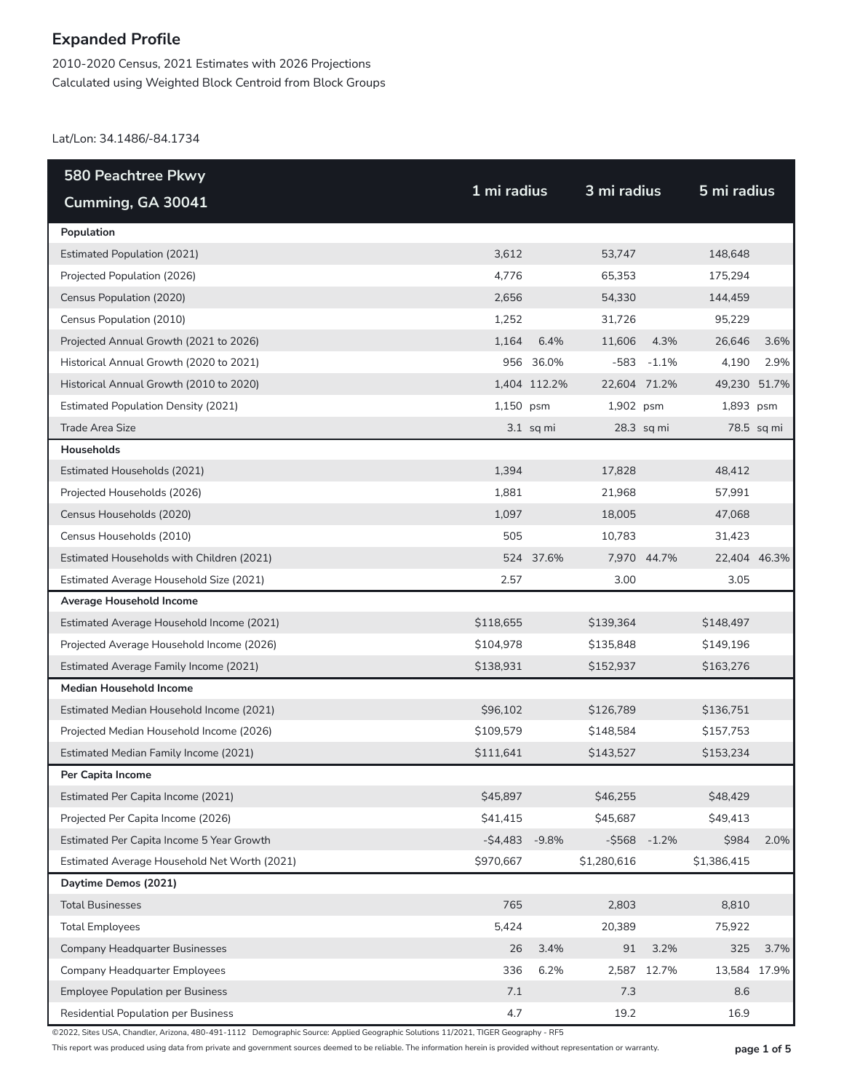2010-2020 Census, 2021 Estimates with 2026 Projections Calculated using Weighted Block Centroid from Block Groups

Lat/Lon: 34.1486/-84.1734

| <b>580 Peachtree Pkwy</b>                    |             |              |              |                |              |            |
|----------------------------------------------|-------------|--------------|--------------|----------------|--------------|------------|
| Cumming, GA 30041                            | 1 mi radius |              | 3 mi radius  |                | 5 mi radius  |            |
| Population                                   |             |              |              |                |              |            |
| <b>Estimated Population (2021)</b>           | 3,612       |              | 53,747       |                | 148,648      |            |
| Projected Population (2026)                  | 4,776       |              | 65,353       |                | 175,294      |            |
| Census Population (2020)                     | 2,656       |              | 54,330       |                | 144,459      |            |
| Census Population (2010)                     | 1,252       |              | 31,726       |                | 95,229       |            |
| Projected Annual Growth (2021 to 2026)       | 1,164       | 6.4%         | 11,606       | 4.3%           | 26,646       | 3.6%       |
| Historical Annual Growth (2020 to 2021)      |             | 956 36.0%    |              | $-583 - 1.1\%$ | 4,190        | 2.9%       |
| Historical Annual Growth (2010 to 2020)      |             | 1,404 112.2% | 22,604 71.2% |                | 49,230 51.7% |            |
| <b>Estimated Population Density (2021)</b>   | 1,150 psm   |              | 1,902 psm    |                | 1,893 psm    |            |
| <b>Trade Area Size</b>                       |             | $3.1$ sq mi  |              | 28.3 sq mi     |              | 78.5 sq mi |
| Households                                   |             |              |              |                |              |            |
| Estimated Households (2021)                  | 1,394       |              | 17,828       |                | 48,412       |            |
| Projected Households (2026)                  | 1,881       |              | 21,968       |                | 57,991       |            |
| Census Households (2020)                     | 1,097       |              | 18,005       |                | 47,068       |            |
| Census Households (2010)                     | 505         |              | 10,783       |                | 31,423       |            |
| Estimated Households with Children (2021)    |             | 524 37.6%    |              | 7,970 44.7%    | 22,404 46.3% |            |
| Estimated Average Household Size (2021)      | 2.57        |              | 3.00         |                | 3.05         |            |
| Average Household Income                     |             |              |              |                |              |            |
| Estimated Average Household Income (2021)    | \$118,655   |              | \$139,364    |                | \$148,497    |            |
| Projected Average Household Income (2026)    | \$104,978   |              | \$135,848    |                | \$149,196    |            |
| Estimated Average Family Income (2021)       | \$138,931   |              | \$152,937    |                | \$163,276    |            |
| <b>Median Household Income</b>               |             |              |              |                |              |            |
| Estimated Median Household Income (2021)     | \$96,102    |              | \$126,789    |                | \$136,751    |            |
| Projected Median Household Income (2026)     | \$109,579   |              | \$148,584    |                | \$157,753    |            |
| Estimated Median Family Income (2021)        | \$111,641   |              | \$143,527    |                | \$153,234    |            |
| Per Capita Income                            |             |              |              |                |              |            |
| Estimated Per Capita Income (2021)           | \$45,897    |              | \$46,255     |                | \$48,429     |            |
| Projected Per Capita Income (2026)           | \$41,415    |              | \$45,687     |                | \$49,413     |            |
| Estimated Per Capita Income 5 Year Growth    | $-$4,483$   | $-9.8%$      | $-$ \$568    | $-1.2%$        | \$984        | 2.0%       |
| Estimated Average Household Net Worth (2021) | \$970,667   |              | \$1,280,616  |                | \$1,386,415  |            |
| Daytime Demos (2021)                         |             |              |              |                |              |            |
| <b>Total Businesses</b>                      | 765         |              | 2,803        |                | 8,810        |            |
| <b>Total Employees</b>                       | 5,424       |              | 20,389       |                | 75,922       |            |
| Company Headquarter Businesses               | 26          | 3.4%         | 91           | 3.2%           | 325          | 3.7%       |
| Company Headquarter Employees                | 336         | 6.2%         | 2,587        | 12.7%          | 13,584 17.9% |            |
| <b>Employee Population per Business</b>      | 7.1         |              | 7.3          |                | 8.6          |            |
| Residential Population per Business          | 4.7         |              | 19.2         |                | 16.9         |            |

©2022, Sites USA, Chandler, Arizona, 480-491-1112 Demographic Source: Applied Geographic Solutions 11/2021, TIGER Geography - RF5

This report was produced using data from private and government sources deemed to be reliable. The information herein is provided without representation or warranty. **page 1 of 5**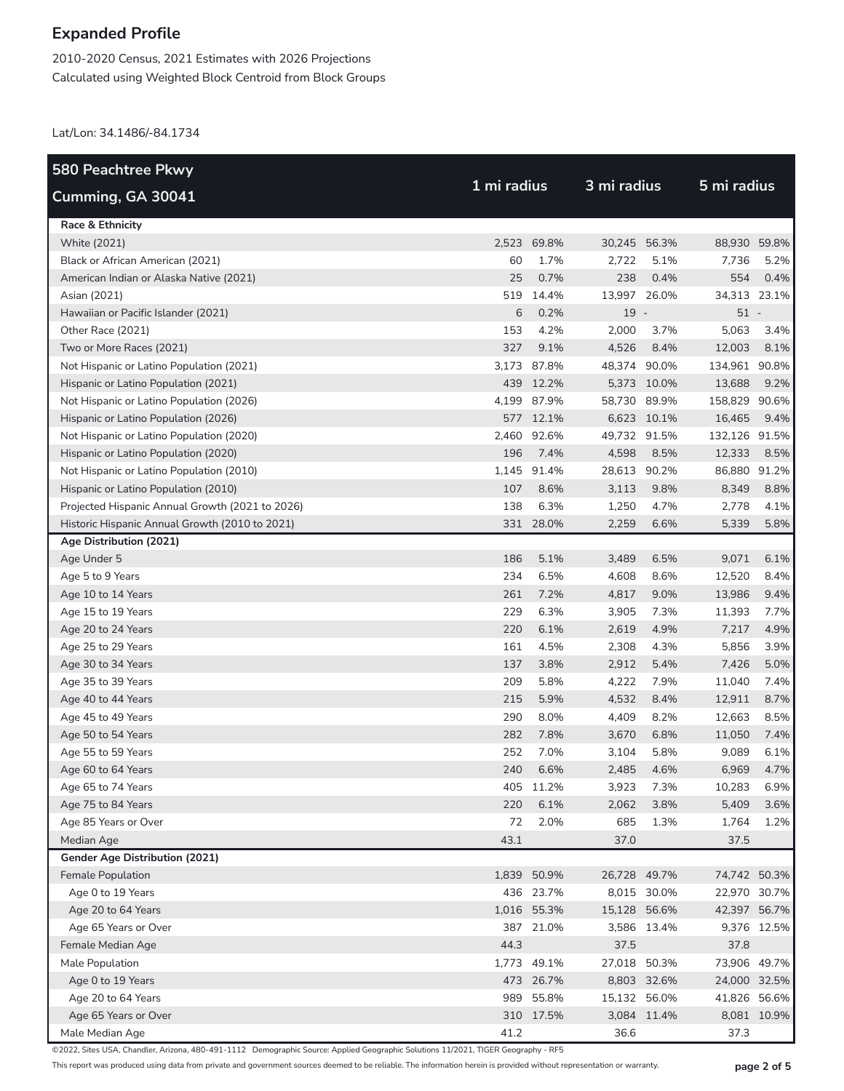2010-2020 Census, 2021 Estimates with 2026 Projections Calculated using Weighted Block Centroid from Block Groups

Lat/Lon: 34.1486/-84.1734

| <b>580 Peachtree Pkwy</b>                       |             |             |             |              |               | 5 mi radius |  |  |
|-------------------------------------------------|-------------|-------------|-------------|--------------|---------------|-------------|--|--|
| Cumming, GA 30041                               | 1 mi radius |             | 3 mi radius |              |               |             |  |  |
| Race & Ethnicity                                |             |             |             |              |               |             |  |  |
| <b>White (2021)</b>                             |             | 2,523 69.8% |             | 30,245 56.3% | 88,930 59.8%  |             |  |  |
| Black or African American (2021)                | 60          | 1.7%        | 2,722       | 5.1%         | 7,736         | 5.2%        |  |  |
| American Indian or Alaska Native (2021)         | 25          | 0.7%        | 238         | 0.4%         | 554           | 0.4%        |  |  |
| Asian (2021)                                    |             | 519 14.4%   |             | 13,997 26.0% | 34,313 23.1%  |             |  |  |
| Hawaiian or Pacific Islander (2021)             | 6           | 0.2%        | $19 -$      |              | $51 -$        |             |  |  |
| Other Race (2021)                               | 153         | 4.2%        | 2,000       | 3.7%         | 5,063         | 3.4%        |  |  |
| Two or More Races (2021)                        | 327         | 9.1%        | 4,526       | 8.4%         | 12,003        | 8.1%        |  |  |
| Not Hispanic or Latino Population (2021)        |             | 3,173 87.8% |             | 48,374 90.0% | 134,961 90.8% |             |  |  |
| Hispanic or Latino Population (2021)            |             | 439 12.2%   |             | 5,373 10.0%  | 13,688        | 9.2%        |  |  |
| Not Hispanic or Latino Population (2026)        |             | 4,199 87.9% |             | 58,730 89.9% | 158,829 90.6% |             |  |  |
| Hispanic or Latino Population (2026)            |             | 577 12.1%   |             | 6,623 10.1%  | 16,465        | 9.4%        |  |  |
| Not Hispanic or Latino Population (2020)        | 2,460       | 92.6%       |             | 49,732 91.5% | 132,126 91.5% |             |  |  |
| Hispanic or Latino Population (2020)            | 196         | 7.4%        | 4,598       | 8.5%         | 12,333        | 8.5%        |  |  |
| Not Hispanic or Latino Population (2010)        |             | 1,145 91.4% |             | 28,613 90.2% | 86,880 91.2%  |             |  |  |
| Hispanic or Latino Population (2010)            | 107         | 8.6%        | 3,113       | 9.8%         | 8,349         | 8.8%        |  |  |
| Projected Hispanic Annual Growth (2021 to 2026) | 138         | 6.3%        | 1,250       | 4.7%         | 2,778         | 4.1%        |  |  |
| Historic Hispanic Annual Growth (2010 to 2021)  |             | 331 28.0%   | 2,259       | 6.6%         | 5,339         | 5.8%        |  |  |
| Age Distribution (2021)                         |             |             |             |              |               |             |  |  |
| Age Under 5                                     | 186         | 5.1%        | 3,489       | 6.5%         | 9,071         | 6.1%        |  |  |
| Age 5 to 9 Years                                | 234         | 6.5%        | 4,608       | 8.6%         | 12,520        | 8.4%        |  |  |
| Age 10 to 14 Years                              | 261         | 7.2%        | 4,817       | 9.0%         | 13,986        | 9.4%        |  |  |
| Age 15 to 19 Years                              | 229         | 6.3%        | 3,905       | 7.3%         | 11,393        | 7.7%        |  |  |
| Age 20 to 24 Years                              | 220         | 6.1%        | 2,619       | 4.9%         | 7,217         | 4.9%        |  |  |
| Age 25 to 29 Years                              | 161         | 4.5%        | 2,308       | 4.3%         | 5,856         | 3.9%        |  |  |
| Age 30 to 34 Years                              | 137         | 3.8%        | 2,912       | 5.4%         | 7,426         | 5.0%        |  |  |
| Age 35 to 39 Years                              | 209         | 5.8%        | 4,222       | 7.9%         | 11,040        | 7.4%        |  |  |
| Age 40 to 44 Years                              | 215         | 5.9%        | 4,532       | 8.4%         | 12,911        | 8.7%        |  |  |
| Age 45 to 49 Years                              | 290         | 8.0%        | 4,409       | 8.2%         | 12,663        | 8.5%        |  |  |
| Age 50 to 54 Years                              | 282         | 7.8%        | 3,670       | 6.8%         | 11,050        | 7.4%        |  |  |
| Age 55 to 59 Years                              | 252         | 7.0%        | 3,104       | 5.8%         | 9,089         | 6.1%        |  |  |
| Age 60 to 64 Years                              | 240         | 6.6%        | 2,485       | 4.6%         | 6,969         | 4.7%        |  |  |
| Age 65 to 74 Years                              | 405         | 11.2%       | 3,923       | 7.3%         | 10,283        | 6.9%        |  |  |
| Age 75 to 84 Years                              | 220         | 6.1%        | 2,062       | 3.8%         | 5,409         | 3.6%        |  |  |
| Age 85 Years or Over                            | 72          | 2.0%        | 685         | 1.3%         | 1,764         | 1.2%        |  |  |
| Median Age                                      | 43.1        |             | 37.0        |              | 37.5          |             |  |  |
| <b>Gender Age Distribution (2021)</b>           |             |             |             |              |               |             |  |  |
| Female Population                               |             | 1,839 50.9% |             | 26,728 49.7% | 74,742 50.3%  |             |  |  |
| Age 0 to 19 Years                               |             | 436 23.7%   |             | 8,015 30.0%  | 22,970 30.7%  |             |  |  |
| Age 20 to 64 Years                              |             | 1,016 55.3% |             | 15,128 56.6% | 42,397 56.7%  |             |  |  |
| Age 65 Years or Over                            |             | 387 21.0%   |             | 3,586 13.4%  |               | 9,376 12.5% |  |  |
| Female Median Age                               | 44.3        |             | 37.5        |              | 37.8          |             |  |  |
| Male Population                                 |             | 1,773 49.1% |             | 27,018 50.3% | 73,906 49.7%  |             |  |  |
| Age 0 to 19 Years                               |             | 473 26.7%   |             | 8,803 32.6%  | 24,000 32.5%  |             |  |  |
| Age 20 to 64 Years                              |             | 989 55.8%   |             | 15,132 56.0% | 41,826 56.6%  |             |  |  |
| Age 65 Years or Over                            |             | 310 17.5%   |             | 3,084 11.4%  |               | 8,081 10.9% |  |  |
| Male Median Age                                 | 41.2        |             | 36.6        |              | 37.3          |             |  |  |

©2022, Sites USA, Chandler, Arizona, 480-491-1112 Demographic Source: Applied Geographic Solutions 11/2021, TIGER Geography - RF5

This report was produced using data from private and government sources deemed to be reliable. The information herein is provided without representation or warranty. **page 2 of 5**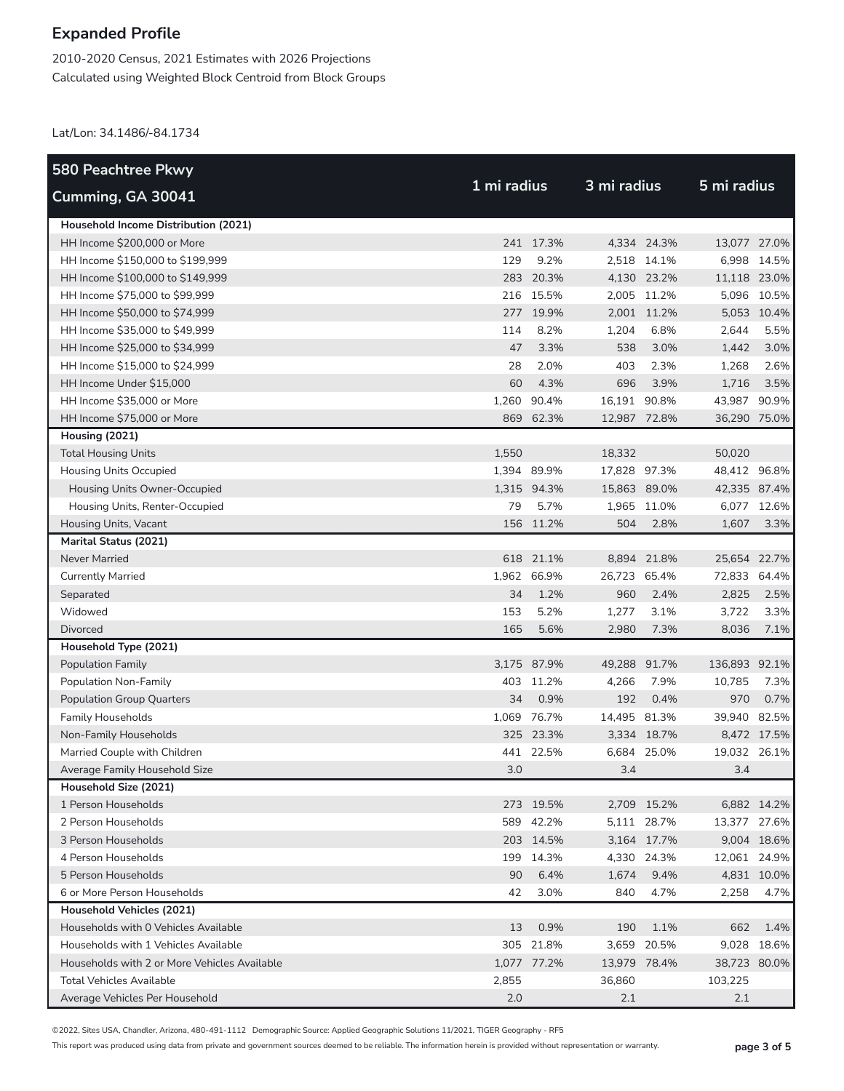2010-2020 Census, 2021 Estimates with 2026 Projections Calculated using Weighted Block Centroid from Block Groups

Lat/Lon: 34.1486/-84.1734

| 580 Peachtree Pkwy                           |             |             |              |             |               |             |
|----------------------------------------------|-------------|-------------|--------------|-------------|---------------|-------------|
| Cumming, GA 30041                            | 1 mi radius |             | 3 mi radius  |             | 5 mi radius   |             |
| Household Income Distribution (2021)         |             |             |              |             |               |             |
| HH Income \$200,000 or More                  |             | 241 17.3%   |              | 4,334 24.3% | 13,077 27.0%  |             |
| HH Income \$150,000 to \$199,999             | 129         | 9.2%        |              | 2,518 14.1% |               | 6,998 14.5% |
| HH Income \$100,000 to \$149,999             |             | 283 20.3%   |              | 4,130 23.2% | 11,118 23.0%  |             |
| HH Income \$75,000 to \$99,999               |             | 216 15.5%   |              | 2,005 11.2% |               | 5,096 10.5% |
| HH Income \$50,000 to \$74,999               |             | 277 19.9%   |              | 2,001 11.2% |               | 5,053 10.4% |
| HH Income \$35,000 to \$49,999               | 114         | 8.2%        | 1,204        | 6.8%        | 2,644         | 5.5%        |
| HH Income \$25,000 to \$34,999               | 47          | 3.3%        | 538          | 3.0%        | 1,442         | 3.0%        |
| HH Income \$15,000 to \$24,999               | 28          | 2.0%        | 403          | 2.3%        | 1,268         | 2.6%        |
| HH Income Under \$15,000                     | 60          | 4.3%        | 696          | 3.9%        | 1,716         | 3.5%        |
| HH Income \$35,000 or More                   | 1,260       | 90.4%       | 16,191 90.8% |             | 43,987        | 90.9%       |
| HH Income \$75,000 or More                   |             | 869 62.3%   | 12,987 72.8% |             | 36,290 75.0%  |             |
| Housing (2021)                               |             |             |              |             |               |             |
| <b>Total Housing Units</b>                   | 1,550       |             | 18,332       |             | 50,020        |             |
| <b>Housing Units Occupied</b>                |             | 1,394 89.9% | 17,828 97.3% |             | 48,412 96.8%  |             |
| Housing Units Owner-Occupied                 |             | 1,315 94.3% | 15,863 89.0% |             | 42,335 87.4%  |             |
| Housing Units, Renter-Occupied               | 79          | 5.7%        |              | 1,965 11.0% |               | 6,077 12.6% |
| Housing Units, Vacant                        |             | 156 11.2%   | 504          | 2.8%        | 1,607         | 3.3%        |
| <b>Marital Status (2021)</b>                 |             |             |              |             |               |             |
| <b>Never Married</b>                         |             | 618 21.1%   |              | 8,894 21.8% | 25,654 22.7%  |             |
| <b>Currently Married</b>                     |             | 1,962 66.9% | 26,723 65.4% |             | 72,833        | 64.4%       |
| Separated                                    | 34          | 1.2%        | 960          | 2.4%        | 2,825         | 2.5%        |
| Widowed                                      | 153         | 5.2%        | 1,277        | 3.1%        | 3,722         | 3.3%        |
| <b>Divorced</b>                              | 165         | 5.6%        | 2,980        | 7.3%        | 8,036         | 7.1%        |
| Household Type (2021)                        |             |             |              |             |               |             |
| <b>Population Family</b>                     |             | 3,175 87.9% | 49,288 91.7% |             | 136,893 92.1% |             |
| Population Non-Family                        |             | 403 11.2%   | 4,266        | 7.9%        | 10,785        | 7.3%        |
| <b>Population Group Quarters</b>             | 34          | 0.9%        | 192          | 0.4%        | 970           | 0.7%        |
| <b>Family Households</b>                     |             | 1,069 76.7% | 14,495 81.3% |             | 39,940 82.5%  |             |
| Non-Family Households                        |             | 325 23.3%   |              | 3,334 18.7% |               | 8,472 17.5% |
| Married Couple with Children                 |             | 441 22.5%   |              | 6,684 25.0% | 19,032 26.1%  |             |
| Average Family Household Size                | 3.0         |             | 3.4          |             | 3.4           |             |
| Household Size (2021)                        |             |             |              |             |               |             |
| 1 Person Households                          |             | 273 19.5%   |              | 2,709 15.2% |               | 6,882 14.2% |
| 2 Person Households                          |             | 589 42.2%   |              | 5,111 28.7% | 13,377 27.6%  |             |
| 3 Person Households                          |             | 203 14.5%   |              | 3,164 17.7% |               | 9,004 18.6% |
| 4 Person Households                          |             | 199 14.3%   |              | 4,330 24.3% | 12,061 24.9%  |             |
| 5 Person Households                          | 90          | 6.4%        | 1,674        | 9.4%        |               | 4,831 10.0% |
| 6 or More Person Households                  | 42          | 3.0%        | 840          | 4.7%        | 2,258         | 4.7%        |
| <b>Household Vehicles (2021)</b>             |             |             |              |             |               |             |
| Households with 0 Vehicles Available         | 13          | 0.9%        | 190          | 1.1%        | 662           | 1.4%        |
| Households with 1 Vehicles Available         |             | 305 21.8%   | 3,659        | 20.5%       | 9,028         | 18.6%       |
| Households with 2 or More Vehicles Available |             | 1,077 77.2% | 13,979 78.4% |             | 38,723 80.0%  |             |
| <b>Total Vehicles Available</b>              | 2,855       |             | 36,860       |             | 103,225       |             |
| Average Vehicles Per Household               | 2.0         |             | 2.1          |             | 2.1           |             |

©2022, Sites USA, Chandler, Arizona, 480-491-1112 Demographic Source: Applied Geographic Solutions 11/2021, TIGER Geography - RF5

This report was produced using data from private and government sources deemed to be reliable. The information herein is provided without representation or warranty. **page 3 of 5**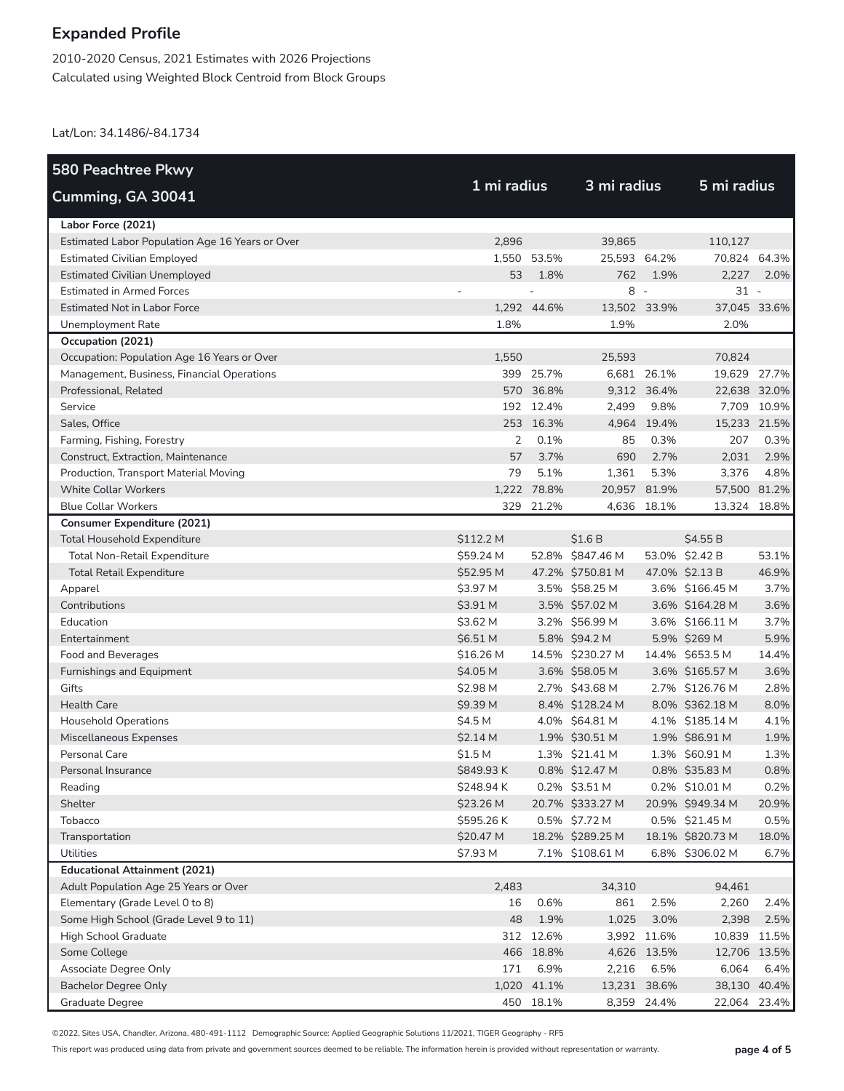2010-2020 Census, 2021 Estimates with 2026 Projections Calculated using Weighted Block Centroid from Block Groups

Lat/Lon: 34.1486/-84.1734

| <b>580 Peachtree Pkwy</b>                       |                    |             |                  |             |                  |              |
|-------------------------------------------------|--------------------|-------------|------------------|-------------|------------------|--------------|
| Cumming, GA 30041                               | 1 mi radius        |             | 3 mi radius      |             | 5 mi radius      |              |
| Labor Force (2021)                              |                    |             |                  |             |                  |              |
| Estimated Labor Population Age 16 Years or Over | 2.896              |             | 39,865           |             | 110,127          |              |
| <b>Estimated Civilian Employed</b>              |                    | 1,550 53.5% | 25,593 64.2%     |             | 70,824 64.3%     |              |
| <b>Estimated Civilian Unemployed</b>            | 53                 | 1.8%        | 762              | 1.9%        | 2,227            | 2.0%         |
| <b>Estimated in Armed Forces</b>                |                    |             | $8 -$            |             | $31 -$           |              |
| <b>Estimated Not in Labor Force</b>             |                    | 1,292 44.6% | 13,502 33.9%     |             | 37,045 33.6%     |              |
| Unemployment Rate                               | 1.8%               |             | 1.9%             |             | 2.0%             |              |
| Occupation (2021)                               |                    |             |                  |             |                  |              |
| Occupation: Population Age 16 Years or Over     | 1,550              |             | 25,593           |             | 70,824           |              |
| Management, Business, Financial Operations      |                    | 399 25.7%   |                  | 6,681 26.1% | 19,629 27.7%     |              |
| Professional, Related                           |                    | 570 36.8%   |                  | 9,312 36.4% | 22,638 32.0%     |              |
| Service                                         |                    | 192 12.4%   | 2,499            | 9.8%        |                  | 7,709 10.9%  |
| Sales, Office                                   |                    | 253 16.3%   | 4,964            | 19.4%       | 15,233 21.5%     |              |
| Farming, Fishing, Forestry                      | 2                  | 0.1%        | 85               | 0.3%        | 207              | 0.3%         |
| Construct, Extraction, Maintenance              | 57                 | 3.7%        | 690              | 2.7%        | 2,031            | 2.9%         |
| Production, Transport Material Moving           | 79                 | 5.1%        | 1,361            | 5.3%        | 3,376            | 4.8%         |
| <b>White Collar Workers</b>                     |                    | 1,222 78.8% | 20,957 81.9%     |             | 57,500 81.2%     |              |
| <b>Blue Collar Workers</b>                      |                    | 329 21.2%   |                  | 4,636 18.1% | 13,324 18.8%     |              |
| <b>Consumer Expenditure (2021)</b>              |                    |             |                  |             |                  |              |
| <b>Total Household Expenditure</b>              | \$112.2 M          |             | \$1.6B           |             | \$4.55 B         |              |
| <b>Total Non-Retail Expenditure</b>             | \$59.24 M          |             | 52.8% \$847.46 M |             | 53.0% \$2.42 B   | 53.1%        |
| <b>Total Retail Expenditure</b>                 | \$52.95 M          |             | 47.2% \$750.81 M |             | 47.0% \$2.13 B   | 46.9%        |
| Apparel                                         | \$3.97 M           |             | 3.5% \$58.25 M   |             | 3.6% \$166.45 M  | 3.7%         |
| Contributions                                   | \$3.91 M           |             | 3.5% \$57.02 M   |             | 3.6% \$164.28 M  | 3.6%         |
| Education                                       | \$3.62 M           |             | 3.2% \$56.99 M   |             | 3.6% \$166.11 M  | 3.7%         |
| Entertainment                                   | \$6.51 M           |             | 5.8% \$94.2 M    |             | 5.9% \$269 M     | 5.9%         |
| Food and Beverages                              | \$16.26 M          |             | 14.5% \$230.27 M |             | 14.4% \$653.5 M  | 14.4%        |
| Furnishings and Equipment                       | \$4.05 M           |             | 3.6% \$58.05 M   |             | 3.6% \$165.57 M  | 3.6%         |
| Gifts                                           | \$2.98 M           |             | 2.7% \$43.68 M   |             | 2.7% \$126.76 M  | 2.8%         |
| <b>Health Care</b>                              | \$9.39 M           |             | 8.4% \$128.24 M  |             | 8.0% \$362.18 M  | 8.0%         |
| <b>Household Operations</b>                     | \$4.5 M            |             | 4.0% \$64.81 M   |             | 4.1% \$185.14 M  | 4.1%         |
| Miscellaneous Expenses                          | \$2.14 M           |             | 1.9% \$30.51 M   |             | 1.9% \$86.91 M   | 1.9%         |
| Personal Care                                   | \$1.5 <sub>M</sub> |             | 1.3% \$21.41 M   |             | 1.3% \$60.91 M   | 1.3%         |
| Personal Insurance                              | \$849.93 K         |             | 0.8% \$12.47 M   |             | 0.8% \$35.83 M   | 0.8%         |
| Reading                                         | \$248.94 K         |             | $0.2\%$ \$3.51 M |             | 0.2% \$10.01 M   | 0.2%         |
| Shelter                                         | \$23.26 M          |             | 20.7% \$333.27 M |             | 20.9% \$949.34 M | 20.9%        |
| Tobacco                                         | \$595.26K          |             | 0.5% \$7.72 M    |             | 0.5% \$21.45 M   | 0.5%         |
| Transportation                                  | \$20.47 M          |             | 18.2% \$289.25 M |             | 18.1% \$820.73 M | 18.0%        |
| <b>Utilities</b>                                | \$7.93 M           |             | 7.1% \$108.61 M  |             | 6.8% \$306.02 M  | 6.7%         |
| <b>Educational Attainment (2021)</b>            |                    |             |                  |             |                  |              |
| Adult Population Age 25 Years or Over           | 2,483              |             | 34,310           |             | 94,461           |              |
| Elementary (Grade Level 0 to 8)                 | 16                 | 0.6%        | 861              | 2.5%        | 2,260            | 2.4%         |
| Some High School (Grade Level 9 to 11)          | 48                 | 1.9%        | 1,025            | 3.0%        | 2,398            | 2.5%         |
| High School Graduate                            |                    | 312 12.6%   |                  | 3,992 11.6% | 10,839           | 11.5%        |
| Some College                                    |                    | 466 18.8%   |                  | 4,626 13.5% | 12,706 13.5%     |              |
| Associate Degree Only                           | 171                | 6.9%        | 2,216            | 6.5%        | 6,064            | 6.4%         |
| <b>Bachelor Degree Only</b>                     | 1,020              | 41.1%       | 13,231 38.6%     |             |                  | 38,130 40.4% |
| Graduate Degree                                 |                    | 450 18.1%   |                  | 8,359 24.4% | 22,064           | 23.4%        |

©2022, Sites USA, Chandler, Arizona, 480-491-1112 Demographic Source: Applied Geographic Solutions 11/2021, TIGER Geography - RF5

This report was produced using data from private and government sources deemed to be reliable. The information herein is provided without representation or warranty. **page 4 of 5**